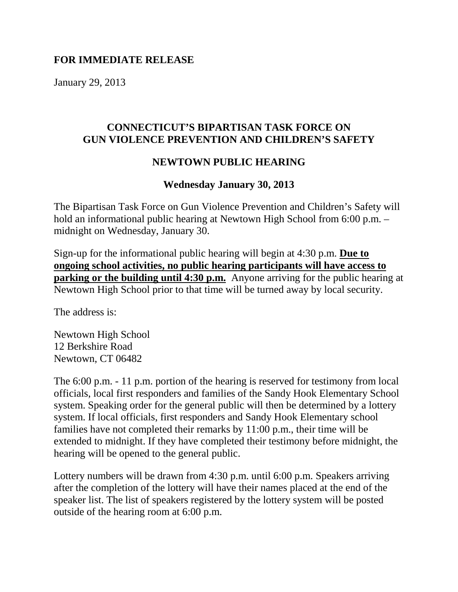#### **FOR IMMEDIATE RELEASE**

January 29, 2013

# **CONNECTICUT'S BIPARTISAN TASK FORCE ON GUN VIOLENCE PREVENTION AND CHILDREN'S SAFETY**

# **NEWTOWN PUBLIC HEARING**

# **Wednesday January 30, 2013**

The Bipartisan Task Force on Gun Violence Prevention and Children's Safety will hold an informational public hearing at Newtown High School from 6:00 p.m. – midnight on Wednesday, January 30.

Sign-up for the informational public hearing will begin at 4:30 p.m. **Due to ongoing school activities, no public hearing participants will have access to parking or the building until 4:30 p.m.** Anyone arriving for the public hearing at Newtown High School prior to that time will be turned away by local security.

The address is:

Newtown High School 12 Berkshire Road Newtown, CT 06482

The 6:00 p.m. - 11 p.m. portion of the hearing is reserved for testimony from local officials, local first responders and families of the Sandy Hook Elementary School system. Speaking order for the general public will then be determined by a lottery system. If local officials, first responders and Sandy Hook Elementary school families have not completed their remarks by 11:00 p.m., their time will be extended to midnight. If they have completed their testimony before midnight, the hearing will be opened to the general public.

Lottery numbers will be drawn from 4:30 p.m. until 6:00 p.m. Speakers arriving after the completion of the lottery will have their names placed at the end of the speaker list. The list of speakers registered by the lottery system will be posted outside of the hearing room at 6:00 p.m.